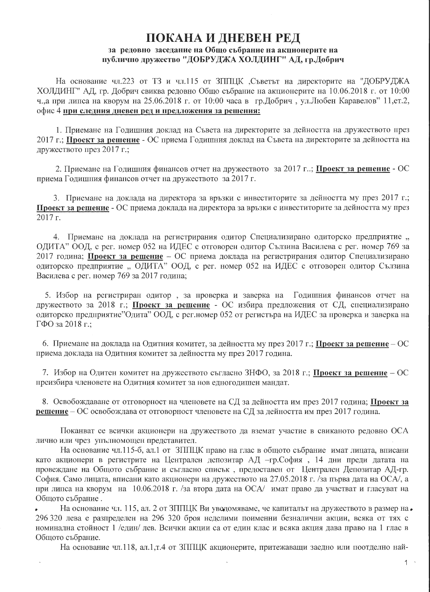## ПОКАНА И ДНЕВЕН РЕД за редовно заседание на Общо събрание на акционерите на публично дружество "ДОБРУДЖА ХОЛДИНГ" АД, гр.Добрич

На основание чл.223 от ТЗ и чл.115 от ЗППЦК ,Съветът на директорите на "ДОБРУДЖА ХОЛДИНГ" АД, гр. Добрич свиква редовно Общо събрание на акционерите на 10.06.2018 г. от 10:00 ч.,а при липса на кворум на 25.06.2018 г. от 10:00 часа в гр.Добрич, ул.Любен Каравелов" 11, ет.2, офис 4 при следния дневен ред и предложения за решения:

1. Приемане на Годишния доклад на Съвета на директорите за дейността на дружеството през 2017 г.; Проект за решение - ОС приема Годишния доклад на Съвета на директорите за дейността на дружеството през 2017 г.;

2. Приемане на Годишния финансов отчет на дружеството за 2017 г..; Проект за решение - ОС приема Годишния финансов отчет на дружеството за 2017 г.

3. Приемане на доклада на директора за връзки с инвеститорите за дейността му през 2017 г.; Проект за решение - ОС приема доклада на директора за връзки с инвеститорите за дейността му през 2017 г.

4. Приемане на доклада на регистрирания одитор Специализирано одиторско предприятие, ОДИТА" ООД, с рег. номер 052 на ИДЕС с отговорен одитор Сълзина Василева с рег. номер 769 за 2017 година; Проект за решение - ОС приема доклада на регистрирания одитор Специализирано одиторско предприятие "ОДИТА" ООД, с рег. номер 052 на ИДЕС с отговорен одитор Сълзина Василева с рег. номер 769 за 2017 година;

5. Избор на регистриран одитор, за проверка и заверка на Годишния финансов отчет на дружеството за 2018 г.; Проект за решение - ОС избира предложения от СД, специализирано одиторско предприятие"Одита" ООД, с рег.номер 052 от регистъра на ИДЕС за проверка и заверка на ГФО за 2018 г.;

6. Приемане на доклада на Одитния комитет, за дейността му през 2017 г.; Проект за решение – ОС приема доклада на Одитния комитет за дейността му през 2017 година.

7. Избор на Одитен комитет на дружеството съгласно ЗНФО, за 2018 г.; Проект за решение – ОС преизбира членовете на Одитния комитет за нов едногодишен мандат.

8. Освобождаване от отговорност на членовете на СД за дейността им през 2017 година; Проект за решение – ОС освобождава от отговорност членовете на СД за дейността им през 2017 година.

Поканват се всички акционери на дружеството да вземат участие в свиканото редовно ОСА лично или чрез упълномощен представител.

На основание чл.115-б, ал.1 от ЗППЦК право на глас в общото събрание имат лицата, вписани като акционери в регистрите на Централен депозитар АД -гр.София, 14 дни преди датата на провеждане на Общото събрание и съгласно списък, предоставен от Централен Депозитар АД-гр. София. Само лицата, вписани като акционери на дружеството на 27.05.2018 г. /за първа дата на ОСА/, а при липса на кворум на 10.06.2018 г. /за втора дата на ОСА/ имат право да участват и гласуват на Общото събрание.

На основание чл. 115, ал. 2 от ЗППЦК Ви уведомяваме, че капиталът на дружеството в размер на • 296 320 лева е разпределен на 296 320 броя неделими поименни безналични акции, всяка от тях с номинална стойност 1 /един/ лев. Всички акции са от един клас и всяка акция дава право на 1 глас в Общото събрание.

 $\overline{a}$ 

На основание чл.118, ал.1,т.4 от ЗППЦК акционерите, притежаващи заедно или поотделно най-

 $1 -$